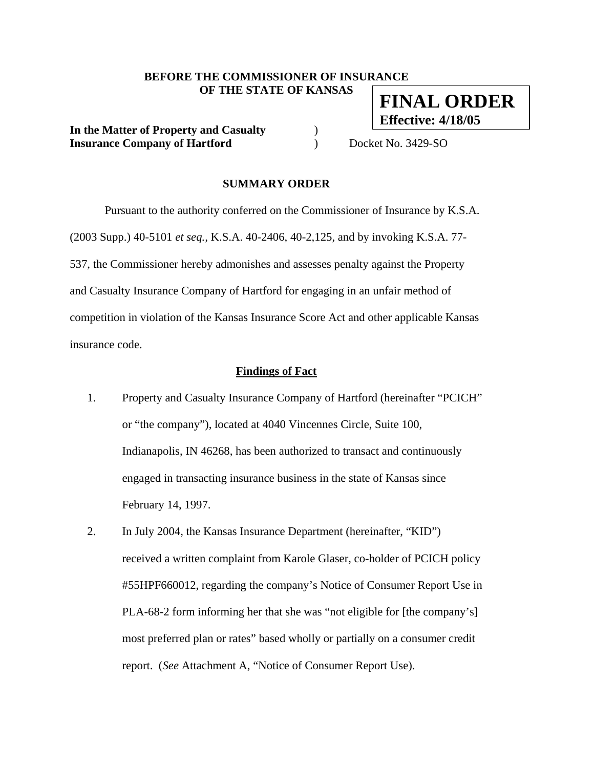#### **BEFORE THE COMMISSIONER OF INSURANCE OF THE STATE OF KANSAS FINAL ORDER**

**In the Matter of Property and Casualty** ) **Insurance Company of Hartford**  $\qquad$  Docket No. 3429-SO

**Effective: 4/18/05**

## **SUMMARY ORDER**

 Pursuant to the authority conferred on the Commissioner of Insurance by K.S.A. (2003 Supp.) 40-5101 *et seq.,* K.S.A. 40-2406, 40-2,125, and by invoking K.S.A. 77- 537, the Commissioner hereby admonishes and assesses penalty against the Property and Casualty Insurance Company of Hartford for engaging in an unfair method of competition in violation of the Kansas Insurance Score Act and other applicable Kansas insurance code.

#### **Findings of Fact**

- 1. Property and Casualty Insurance Company of Hartford (hereinafter "PCICH" or "the company"), located at 4040 Vincennes Circle, Suite 100, Indianapolis, IN 46268, has been authorized to transact and continuously engaged in transacting insurance business in the state of Kansas since February 14, 1997.
- 2. In July 2004, the Kansas Insurance Department (hereinafter, "KID") received a written complaint from Karole Glaser, co-holder of PCICH policy #55HPF660012, regarding the company's Notice of Consumer Report Use in PLA-68-2 form informing her that she was "not eligible for [the company's] most preferred plan or rates" based wholly or partially on a consumer credit report. (*See* Attachment A, "Notice of Consumer Report Use).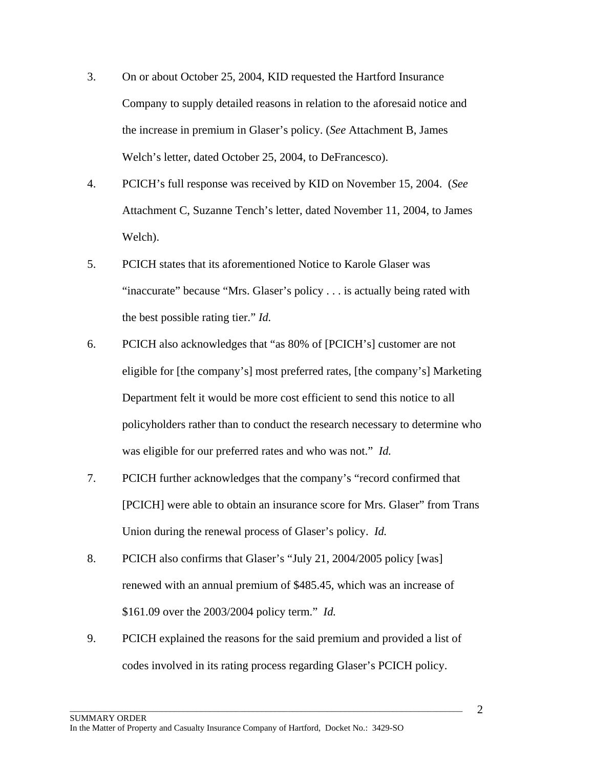- 3. On or about October 25, 2004, KID requested the Hartford Insurance Company to supply detailed reasons in relation to the aforesaid notice and the increase in premium in Glaser's policy. (*See* Attachment B, James Welch's letter, dated October 25, 2004, to DeFrancesco).
- 4. PCICH's full response was received by KID on November 15, 2004. (*See*  Attachment C, Suzanne Tench's letter, dated November 11, 2004, to James Welch).
- 5. PCICH states that its aforementioned Notice to Karole Glaser was "inaccurate" because "Mrs. Glaser's policy . . . is actually being rated with the best possible rating tier." *Id.*
- 6. PCICH also acknowledges that "as 80% of [PCICH's] customer are not eligible for [the company's] most preferred rates, [the company's] Marketing Department felt it would be more cost efficient to send this notice to all policyholders rather than to conduct the research necessary to determine who was eligible for our preferred rates and who was not." *Id.*
- 7. PCICH further acknowledges that the company's "record confirmed that [PCICH] were able to obtain an insurance score for Mrs. Glaser" from Trans Union during the renewal process of Glaser's policy. *Id.*
- 8. PCICH also confirms that Glaser's "July 21, 2004/2005 policy [was] renewed with an annual premium of \$485.45, which was an increase of \$161.09 over the 2003/2004 policy term." *Id.*
- 9. PCICH explained the reasons for the said premium and provided a list of codes involved in its rating process regarding Glaser's PCICH policy.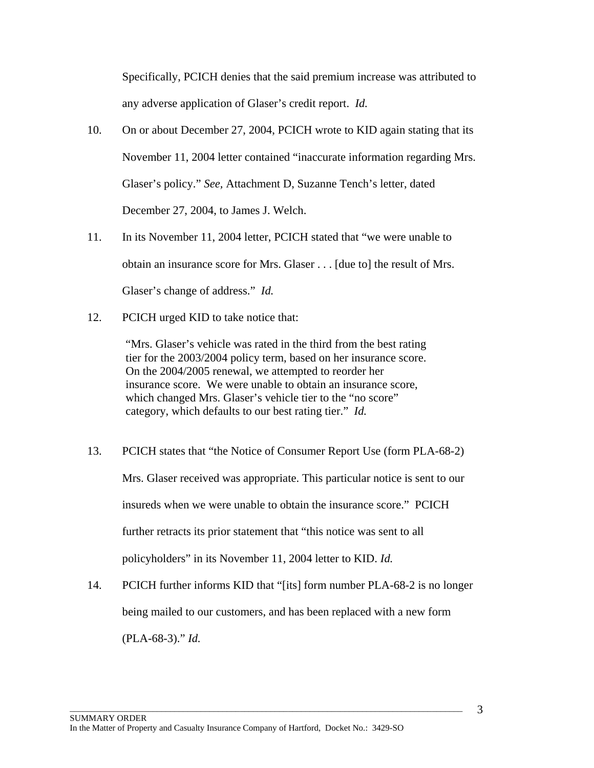Specifically, PCICH denies that the said premium increase was attributed to any adverse application of Glaser's credit report. *Id.*

- 10. On or about December 27, 2004, PCICH wrote to KID again stating that its November 11, 2004 letter contained "inaccurate information regarding Mrs. Glaser's policy." *See,* Attachment D, Suzanne Tench's letter, dated December 27, 2004, to James J. Welch.
- 11. In its November 11, 2004 letter, PCICH stated that "we were unable to obtain an insurance score for Mrs. Glaser . . . [due to] the result of Mrs. Glaser's change of address." *Id.*
- 12. PCICH urged KID to take notice that:

"Mrs. Glaser's vehicle was rated in the third from the best rating tier for the 2003/2004 policy term, based on her insurance score. On the 2004/2005 renewal, we attempted to reorder her insurance score. We were unable to obtain an insurance score, which changed Mrs. Glaser's vehicle tier to the "no score" category, which defaults to our best rating tier." *Id.* 

- 13. PCICH states that "the Notice of Consumer Report Use (form PLA-68-2) Mrs. Glaser received was appropriate. This particular notice is sent to our insureds when we were unable to obtain the insurance score." PCICH further retracts its prior statement that "this notice was sent to all policyholders" in its November 11, 2004 letter to KID. *Id.*
- 14. PCICH further informs KID that "[its] form number PLA-68-2 is no longer being mailed to our customers, and has been replaced with a new form (PLA-68-3)." *Id.*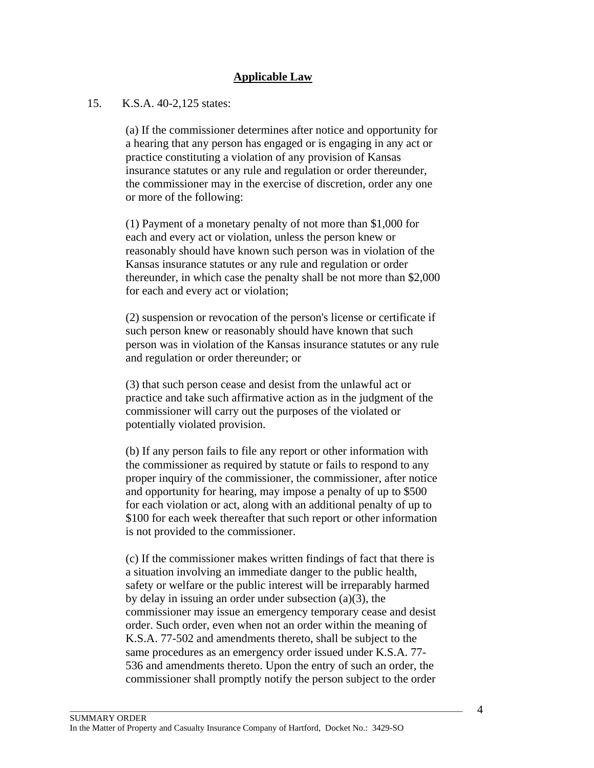# **Applicable Law**

## 15. K.S.A. 40-2,125 states:

(a) If the commissioner determines after notice and opportunity for a hearing that any person has engaged or is engaging in any act or practice constituting a violation of any provision of Kansas insurance statutes or any rule and regulation or order thereunder, the commissioner may in the exercise of discretion, order any one or more of the following:

(1) Payment of a monetary penalty of not more than \$1,000 for each and every act or violation, unless the person knew or reasonably should have known such person was in violation of the Kansas insurance statutes or any rule and regulation or order thereunder, in which case the penalty shall be not more than \$2,000 for each and every act or violation;

(2) suspension or revocation of the person's license or certificate if such person knew or reasonably should have known that such person was in violation of the Kansas insurance statutes or any rule and regulation or order thereunder; or

(3) that such person cease and desist from the unlawful act or practice and take such affirmative action as in the judgment of the commissioner will carry out the purposes of the violated or potentially violated provision.

(b) If any person fails to file any report or other information with the commissioner as required by statute or fails to respond to any proper inquiry of the commissioner, the commissioner, after notice and opportunity for hearing, may impose a penalty of up to \$500 for each violation or act, along with an additional penalty of up to \$100 for each week thereafter that such report or other information is not provided to the commissioner.

(c) If the commissioner makes written findings of fact that there is a situation involving an immediate danger to the public health, safety or welfare or the public interest will be irreparably harmed by delay in issuing an order under subsection (a)(3), the commissioner may issue an emergency temporary cease and desist order. Such order, even when not an order within the meaning of K.S.A. 77-502 and amendments thereto, shall be subject to the same procedures as an emergency order issued under K.S.A. 77- 536 and amendments thereto. Upon the entry of such an order, the commissioner shall promptly notify the person subject to the order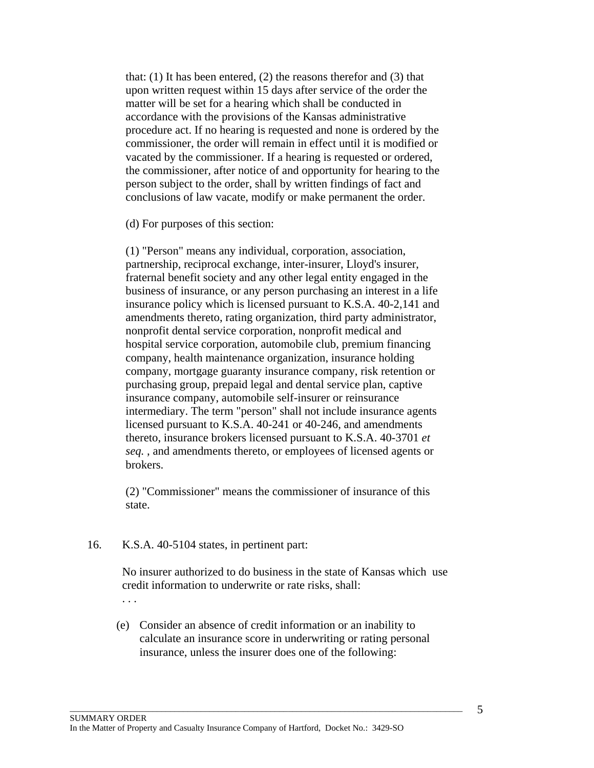that: (1) It has been entered, (2) the reasons therefor and (3) that upon written request within 15 days after service of the order the matter will be set for a hearing which shall be conducted in accordance with the provisions of the Kansas administrative procedure act. If no hearing is requested and none is ordered by the commissioner, the order will remain in effect until it is modified or vacated by the commissioner. If a hearing is requested or ordered, the commissioner, after notice of and opportunity for hearing to the person subject to the order, shall by written findings of fact and conclusions of law vacate, modify or make permanent the order.

(d) For purposes of this section:

(1) "Person" means any individual, corporation, association, partnership, reciprocal exchange, inter-insurer, Lloyd's insurer, fraternal benefit society and any other legal entity engaged in the business of insurance, or any person purchasing an interest in a life insurance policy which is licensed pursuant to K.S.A. 40-2,141 and amendments thereto, rating organization, third party administrator, nonprofit dental service corporation, nonprofit medical and hospital service corporation, automobile club, premium financing company, health maintenance organization, insurance holding company, mortgage guaranty insurance company, risk retention or purchasing group, prepaid legal and dental service plan, captive insurance company, automobile self-insurer or reinsurance intermediary. The term "person" shall not include insurance agents licensed pursuant to K.S.A. 40-241 or 40-246, and amendments thereto, insurance brokers licensed pursuant to K.S.A. 40-3701 *et seq.* , and amendments thereto, or employees of licensed agents or brokers.

(2) "Commissioner" means the commissioner of insurance of this state.

#### 16. K.S.A. 40-5104 states, in pertinent part:

No insurer authorized to do business in the state of Kansas which use credit information to underwrite or rate risks, shall: . . .

(e) Consider an absence of credit information or an inability to calculate an insurance score in underwriting or rating personal insurance, unless the insurer does one of the following: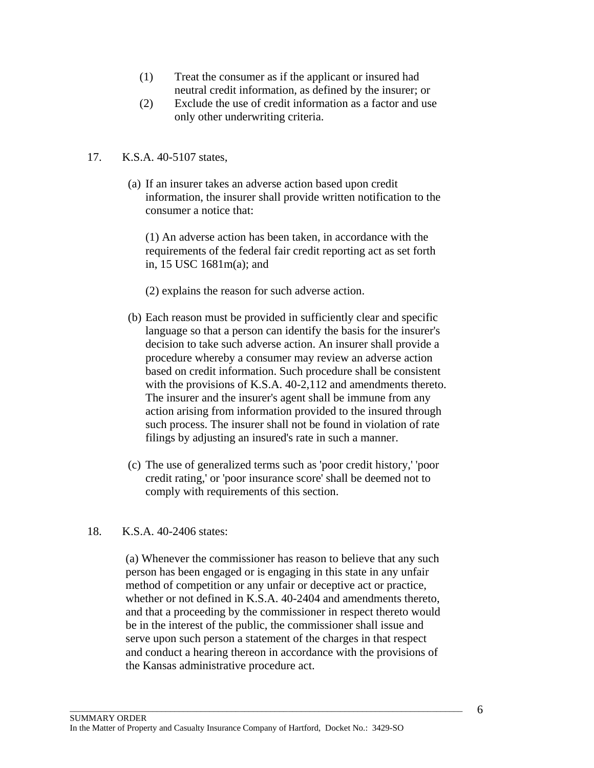- (1) Treat the consumer as if the applicant or insured had neutral credit information, as defined by the insurer; or
- (2) Exclude the use of credit information as a factor and use only other underwriting criteria.

# 17. K.S.A. 40-5107 states,

(a) If an insurer takes an adverse action based upon credit information, the insurer shall provide written notification to the consumer a notice that:

(1) An adverse action has been taken, in accordance with the requirements of the federal fair credit reporting act as set forth in, 15 USC 1681m(a); and

(2) explains the reason for such adverse action.

- (b) Each reason must be provided in sufficiently clear and specific language so that a person can identify the basis for the insurer's decision to take such adverse action. An insurer shall provide a procedure whereby a consumer may review an adverse action based on credit information. Such procedure shall be consistent with the provisions of K.S.A. 40-2,112 and amendments thereto. The insurer and the insurer's agent shall be immune from any action arising from information provided to the insured through such process. The insurer shall not be found in violation of rate filings by adjusting an insured's rate in such a manner.
- (c) The use of generalized terms such as 'poor credit history,' 'poor credit rating,' or 'poor insurance score' shall be deemed not to comply with requirements of this section.

# 18. K.S.A. 40-2406 states:

(a) Whenever the commissioner has reason to believe that any such person has been engaged or is engaging in this state in any unfair method of competition or any unfair or deceptive act or practice, whether or not defined in K.S.A. 40-2404 and amendments thereto, and that a proceeding by the commissioner in respect thereto would be in the interest of the public, the commissioner shall issue and serve upon such person a statement of the charges in that respect and conduct a hearing thereon in accordance with the provisions of the Kansas administrative procedure act.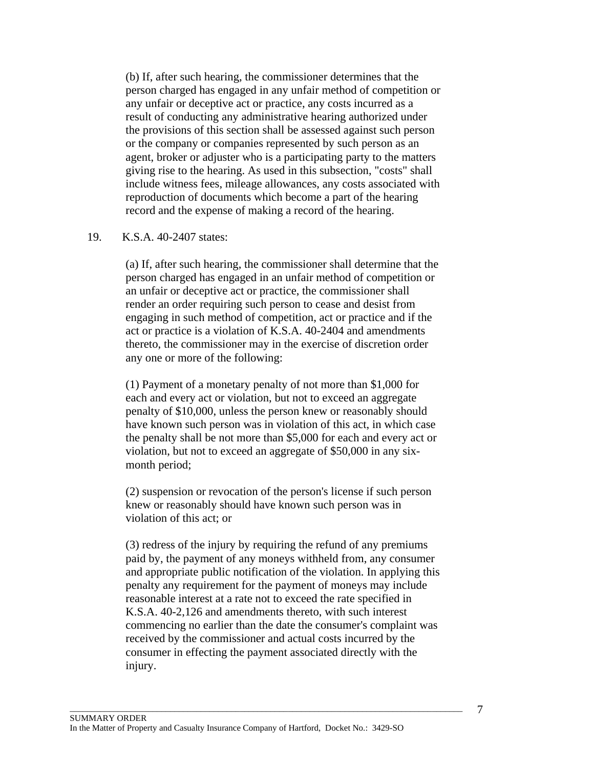(b) If, after such hearing, the commissioner determines that the person charged has engaged in any unfair method of competition or any unfair or deceptive act or practice, any costs incurred as a result of conducting any administrative hearing authorized under the provisions of this section shall be assessed against such person or the company or companies represented by such person as an agent, broker or adjuster who is a participating party to the matters giving rise to the hearing. As used in this subsection, "costs" shall include witness fees, mileage allowances, any costs associated with reproduction of documents which become a part of the hearing record and the expense of making a record of the hearing.

## 19. K.S.A. 40-2407 states:

(a) If, after such hearing, the commissioner shall determine that the person charged has engaged in an unfair method of competition or an unfair or deceptive act or practice, the commissioner shall render an order requiring such person to cease and desist from engaging in such method of competition, act or practice and if the act or practice is a violation of K.S.A. 40-2404 and amendments thereto, the commissioner may in the exercise of discretion order any one or more of the following:

(1) Payment of a monetary penalty of not more than \$1,000 for each and every act or violation, but not to exceed an aggregate penalty of \$10,000, unless the person knew or reasonably should have known such person was in violation of this act, in which case the penalty shall be not more than \$5,000 for each and every act or violation, but not to exceed an aggregate of \$50,000 in any sixmonth period;

(2) suspension or revocation of the person's license if such person knew or reasonably should have known such person was in violation of this act; or

(3) redress of the injury by requiring the refund of any premiums paid by, the payment of any moneys withheld from, any consumer and appropriate public notification of the violation. In applying this penalty any requirement for the payment of moneys may include reasonable interest at a rate not to exceed the rate specified in K.S.A. 40-2,126 and amendments thereto, with such interest commencing no earlier than the date the consumer's complaint was received by the commissioner and actual costs incurred by the consumer in effecting the payment associated directly with the injury.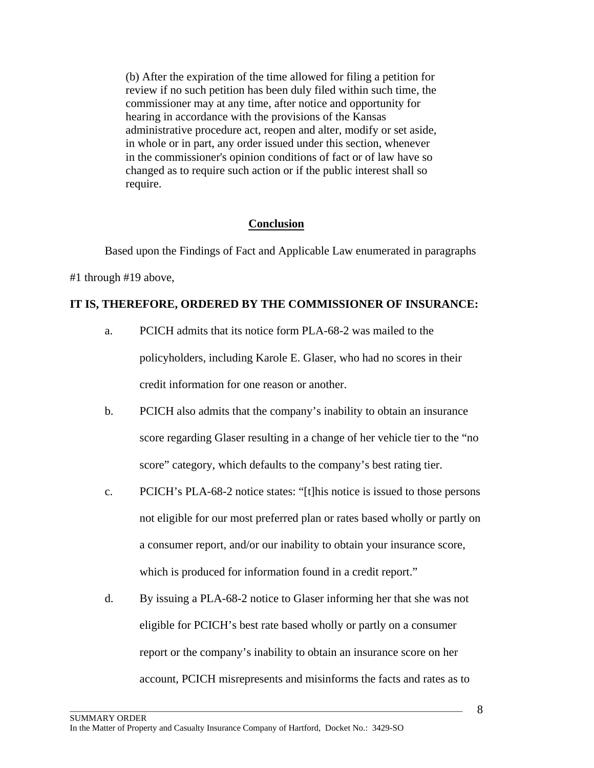(b) After the expiration of the time allowed for filing a petition for review if no such petition has been duly filed within such time, the commissioner may at any time, after notice and opportunity for hearing in accordance with the provisions of the Kansas administrative procedure act, reopen and alter, modify or set aside, in whole or in part, any order issued under this section, whenever in the commissioner's opinion conditions of fact or of law have so changed as to require such action or if the public interest shall so require.

# **Conclusion**

Based upon the Findings of Fact and Applicable Law enumerated in paragraphs

#1 through #19 above,

## **IT IS, THEREFORE, ORDERED BY THE COMMISSIONER OF INSURANCE:**

- a. PCICH admits that its notice form PLA-68-2 was mailed to the policyholders, including Karole E. Glaser, who had no scores in their credit information for one reason or another.
- b. PCICH also admits that the company's inability to obtain an insurance score regarding Glaser resulting in a change of her vehicle tier to the "no score" category, which defaults to the company's best rating tier.
- c. PCICH's PLA-68-2 notice states: "[t]his notice is issued to those persons not eligible for our most preferred plan or rates based wholly or partly on a consumer report, and/or our inability to obtain your insurance score, which is produced for information found in a credit report."
- d. By issuing a PLA-68-2 notice to Glaser informing her that she was not eligible for PCICH's best rate based wholly or partly on a consumer report or the company's inability to obtain an insurance score on her account, PCICH misrepresents and misinforms the facts and rates as to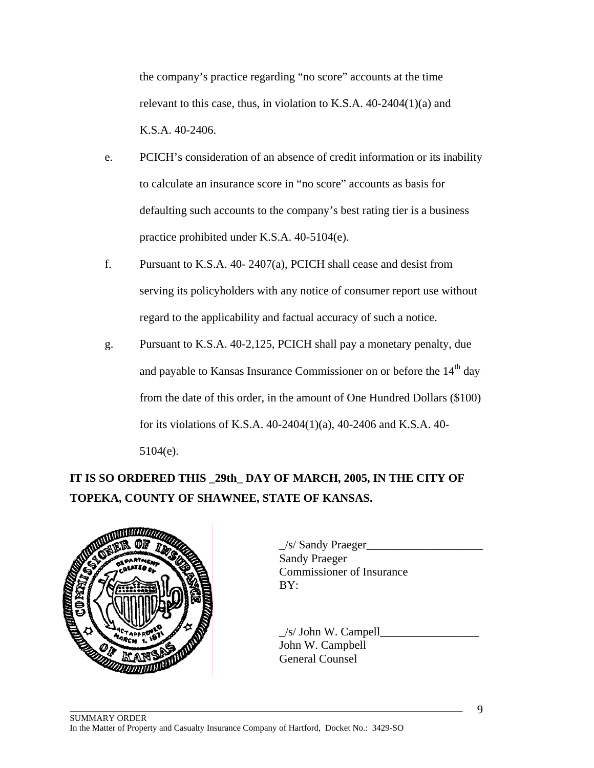the company's practice regarding "no score" accounts at the time relevant to this case, thus, in violation to K.S.A. 40-2404(1)(a) and K.S.A. 40-2406.

- e. PCICH's consideration of an absence of credit information or its inability to calculate an insurance score in "no score" accounts as basis for defaulting such accounts to the company's best rating tier is a business practice prohibited under K.S.A. 40-5104(e).
- f. Pursuant to K.S.A. 40- 2407(a), PCICH shall cease and desist from serving its policyholders with any notice of consumer report use without regard to the applicability and factual accuracy of such a notice.
- g. Pursuant to K.S.A. 40-2,125, PCICH shall pay a monetary penalty, due and payable to Kansas Insurance Commissioner on or before the 14<sup>th</sup> day from the date of this order, in the amount of One Hundred Dollars (\$100) for its violations of K.S.A. 40-2404(1)(a), 40-2406 and K.S.A. 40- 5104(e).

# **IT IS SO ORDERED THIS \_29th\_ DAY OF MARCH, 2005, IN THE CITY OF TOPEKA, COUNTY OF SHAWNEE, STATE OF KANSAS.**



 $\frac{1}{s}$  Sandy Praeger Sandy Praeger Commissioner of Insurance

 $\angle$ s/ John W. Campell $\angle$ John W. Campbell General Counsel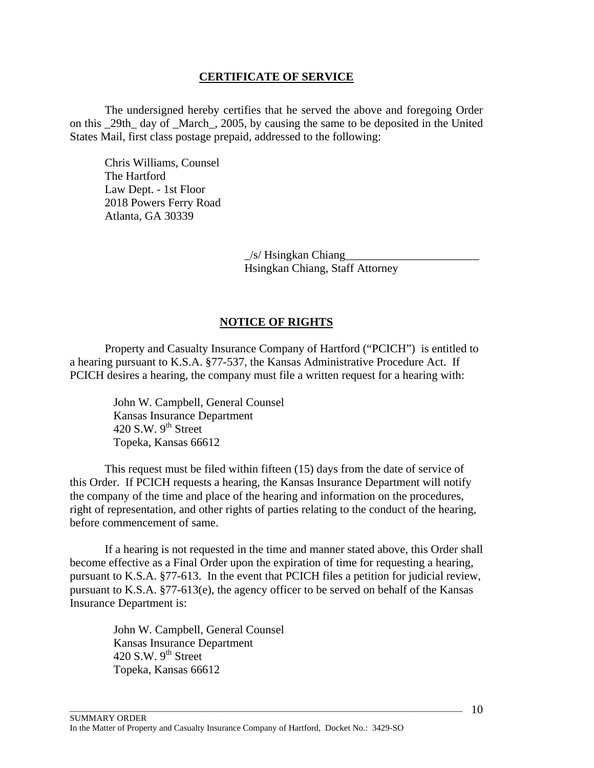## **CERTIFICATE OF SERVICE**

 The undersigned hereby certifies that he served the above and foregoing Order on this \_29th\_ day of \_March\_, 2005, by causing the same to be deposited in the United States Mail, first class postage prepaid, addressed to the following:

Chris Williams, Counsel The Hartford Law Dept. - 1st Floor 2018 Powers Ferry Road Atlanta, GA 30339

> $/s$ / Hsingkan Chiang Hsingkan Chiang, Staff Attorney

# **NOTICE OF RIGHTS**

 Property and Casualty Insurance Company of Hartford ("PCICH") is entitled to a hearing pursuant to K.S.A. §77-537, the Kansas Administrative Procedure Act. If PCICH desires a hearing, the company must file a written request for a hearing with:

> John W. Campbell, General Counsel Kansas Insurance Department 420 S.W.  $9<sup>th</sup>$  Street Topeka, Kansas 66612

 This request must be filed within fifteen (15) days from the date of service of this Order. If PCICH requests a hearing, the Kansas Insurance Department will notify the company of the time and place of the hearing and information on the procedures, right of representation, and other rights of parties relating to the conduct of the hearing, before commencement of same.

 If a hearing is not requested in the time and manner stated above, this Order shall become effective as a Final Order upon the expiration of time for requesting a hearing, pursuant to K.S.A. §77-613. In the event that PCICH files a petition for judicial review, pursuant to K.S.A. §77-613(e), the agency officer to be served on behalf of the Kansas Insurance Department is:

> John W. Campbell, General Counsel Kansas Insurance Department 420 S.W.  $9<sup>th</sup>$  Street Topeka, Kansas 66612

 $\Box$  . The contribution of the contribution of the contribution of the contribution of the contribution of the contribution of the contribution of the contribution of the contribution of the contribution of the contributi

 $-10$